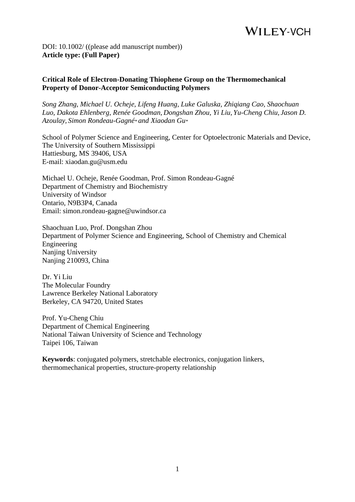DOI: 10.1002/ ((please add manuscript number)) **Article type: (Full Paper)**

#### **Critical Role of Electron-Donating Thiophene Group on the Thermomechanical Property of Donor-Acceptor Semiconducting Polymers**

*Song Zhang, Michael U. Ocheje, Lifeng Huang, Luke Galuska, Zhiqiang Cao, Shaochuan Luo, Dakota Ehlenberg, Renée Goodman, Dongshan Zhou, Yi Liu, Yu-Cheng Chiu, Jason D. Azoulay, Simon Rondeau-Gagné\* and Xiaodan Gu\**

School of Polymer Science and Engineering, Center for Optoelectronic Materials and Device, The University of Southern Mississippi Hattiesburg, MS 39406, USA E-mail: xiaodan.gu@usm.edu

Michael U. Ocheje, Renée Goodman, Prof. Simon Rondeau-Gagné Department of Chemistry and Biochemistry University of Windsor Ontario, N9B3P4, Canada Email: simon.rondeau-gagne@uwindsor.ca

Shaochuan Luo, Prof. Dongshan Zhou Department of Polymer Science and Engineering, School of Chemistry and Chemical Engineering Nanjing University Nanjing 210093, China

Dr. Yi Liu The Molecular Foundry Lawrence Berkeley National Laboratory Berkeley, CA 94720, United States

Prof. Yu-Cheng Chiu Department of Chemical Engineering National Taiwan University of Science and Technology Taipei 106, Taiwan

**Keywords**: conjugated polymers, stretchable electronics, conjugation linkers, thermomechanical properties, structure-property relationship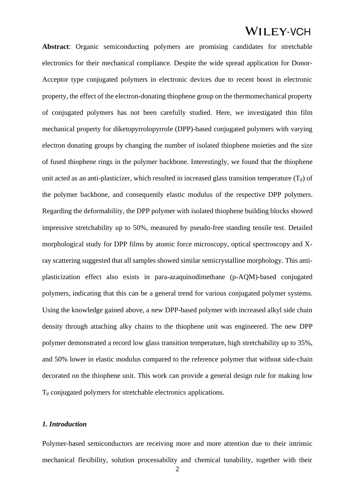**Abstract**: Organic semiconducting polymers are promising candidates for stretchable electronics for their mechanical compliance. Despite the wide spread application for Donor-Acceptor type conjugated polymers in electronic devices due to recent boost in electronic property, the effect of the electron-donating thiophene group on the thermomechanical property of conjugated polymers has not been carefully studied. Here, we investigated thin film mechanical property for diketopyrrolopyrrole (DPP)-based conjugated polymers with varying electron donating groups by changing the number of isolated thiophene moieties and the size of fused thiophene rings in the polymer backbone. Interestingly, we found that the thiophene unit acted as an anti-plasticizer, which resulted in increased glass transition temperature  $(T_g)$  of the polymer backbone, and consequently elastic modulus of the respective DPP polymers. Regarding the deformability, the DPP polymer with isolated thiophene building blocks showed impressive stretchability up to 50%, measured by pseudo-free standing tensile test. Detailed morphological study for DPP films by atomic force microscopy, optical spectroscopy and Xray scattering suggested that all samples showed similar semicrystalline morphology. This antiplasticization effect also exists in para-azaquinodimethane (p-AQM)-based conjugated polymers, indicating that this can be a general trend for various conjugated polymer systems. Using the knowledge gained above, a new DPP-based polymer with increased alkyl side chain density through attaching alky chains to the thiophene unit was engineered. The new DPP polymer demonstrated a record low glass transition temperature, high stretchability up to 35%, and 50% lower in elastic modulus compared to the reference polymer that without side-chain decorated on the thiophene unit. This work can provide a general design rule for making low T*<sup>g</sup>* conjugated polymers for stretchable electronics applications.

#### *1. Introduction*

Polymer-based semiconductors are receiving more and more attention due to their intrinsic mechanical flexibility, solution processability and chemical tunability, together with their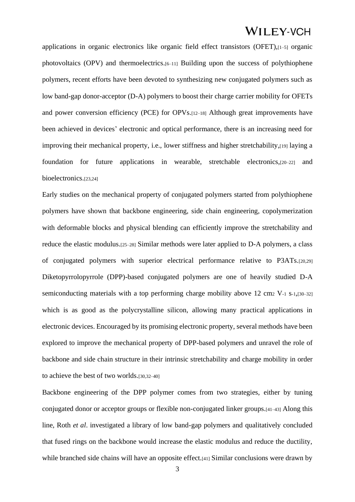applications in organic electronics like organic field effect transistors (OFET),[1–5] organic photovoltaics (OPV) and thermoelectrics.[6–11] Building upon the success of polythiophene polymers, recent efforts have been devoted to synthesizing new conjugated polymers such as low band-gap donor-acceptor (D-A) polymers to boost their charge carrier mobility for OFETs and power conversion efficiency (PCE) for OPVs.[12–18] Although great improvements have been achieved in devices' electronic and optical performance, there is an increasing need for improving their mechanical property, i.e., lower stiffness and higher stretchability,[19] laying a foundation for future applications in wearable, stretchable electronics,[20–22] and bioelectronics.[23,24]

Early studies on the mechanical property of conjugated polymers started from polythiophene polymers have shown that backbone engineering, side chain engineering, copolymerization with deformable blocks and physical blending can efficiently improve the stretchability and reduce the elastic modulus.[25–28] Similar methods were later applied to D-A polymers, a class of conjugated polymers with superior electrical performance relative to P3ATs.[20,29] Diketopyrrolopyrrole (DPP)-based conjugated polymers are one of heavily studied D-A semiconducting materials with a top performing charge mobility above 12 cm $2$  V-1 s-1,[30–32] which is as good as the polycrystalline silicon, allowing many practical applications in electronic devices. Encouraged by its promising electronic property, several methods have been explored to improve the mechanical property of DPP-based polymers and unravel the role of backbone and side chain structure in their intrinsic stretchability and charge mobility in order to achieve the best of two worlds.[30,32–40]

Backbone engineering of the DPP polymer comes from two strategies, either by tuning conjugated donor or acceptor groups or flexible non-conjugated linker groups.[41–43] Along this line, Roth *et al*. investigated a library of low band-gap polymers and qualitatively concluded that fused rings on the backbone would increase the elastic modulus and reduce the ductility, while branched side chains will have an opposite effect.<sup>[41]</sup> Similar conclusions were drawn by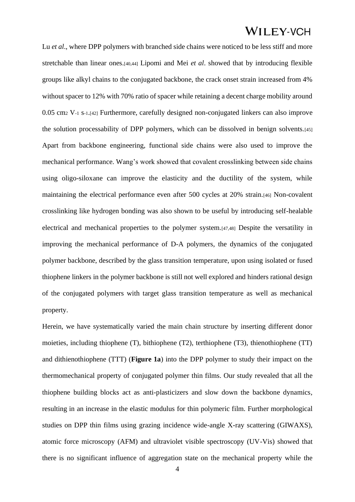Lu *et al.*, where DPP polymers with branched side chains were noticed to be less stiff and more stretchable than linear ones.[40,44] Lipomi and Mei *et al*. showed that by introducing flexible groups like alkyl chains to the conjugated backbone, the crack onset strain increased from 4% without spacer to 12% with 70% ratio of spacer while retaining a decent charge mobility around 0.05 cm<sup>2</sup> V-1 s-1.[42] Furthermore, carefully designed non-conjugated linkers can also improve the solution processability of DPP polymers, which can be dissolved in benign solvents.[45] Apart from backbone engineering, functional side chains were also used to improve the mechanical performance. Wang's work showed that covalent crosslinking between side chains using oligo-siloxane can improve the elasticity and the ductility of the system, while maintaining the electrical performance even after 500 cycles at 20% strain.[46] Non-covalent crosslinking like hydrogen bonding was also shown to be useful by introducing self-healable electrical and mechanical properties to the polymer system.[47,48] Despite the versatility in improving the mechanical performance of D-A polymers, the dynamics of the conjugated polymer backbone, described by the glass transition temperature, upon using isolated or fused thiophene linkers in the polymer backbone is still not well explored and hinders rational design of the conjugated polymers with target glass transition temperature as well as mechanical property.

Herein, we have systematically varied the main chain structure by inserting different donor moieties, including thiophene (T), bithiophene (T2), terthiophene (T3), thienothiophene (TT) and dithienothiophene (TTT) (**Figure 1a**) into the DPP polymer to study their impact on the thermomechanical property of conjugated polymer thin films. Our study revealed that all the thiophene building blocks act as anti-plasticizers and slow down the backbone dynamics, resulting in an increase in the elastic modulus for thin polymeric film. Further morphological studies on DPP thin films using grazing incidence wide-angle X-ray scattering (GIWAXS), atomic force microscopy (AFM) and ultraviolet visible spectroscopy (UV-Vis) showed that there is no significant influence of aggregation state on the mechanical property while the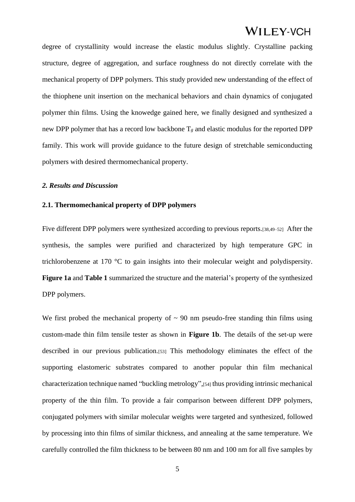degree of crystallinity would increase the elastic modulus slightly. Crystalline packing structure, degree of aggregation, and surface roughness do not directly correlate with the mechanical property of DPP polymers. This study provided new understanding of the effect of the thiophene unit insertion on the mechanical behaviors and chain dynamics of conjugated polymer thin films. Using the knowedge gained here, we finally designed and synthesized a new DPP polymer that has a record low backbone  $T_g$  and elastic modulus for the reported DPP family. This work will provide guidance to the future design of stretchable semiconducting polymers with desired thermomechanical property.

#### *2. Results and Discussion*

#### **2.1. Thermomechanical property of DPP polymers**

Five different DPP polymers were synthesized according to previous reports.[38,49–52] After the synthesis, the samples were purified and characterized by high temperature GPC in trichlorobenzene at 170 °C to gain insights into their molecular weight and polydispersity. **Figure 1a** and **Table 1** summarized the structure and the material's property of the synthesized DPP polymers.

We first probed the mechanical property of  $\sim$  90 nm pseudo-free standing thin films using custom-made thin film tensile tester as shown in **Figure 1b**. The details of the set-up were described in our previous publication.[53] This methodology eliminates the effect of the supporting elastomeric substrates compared to another popular thin film mechanical characterization technique named "buckling metrology",[54] thus providing intrinsic mechanical property of the thin film. To provide a fair comparison between different DPP polymers, conjugated polymers with similar molecular weights were targeted and synthesized, followed by processing into thin films of similar thickness, and annealing at the same temperature. We carefully controlled the film thickness to be between 80 nm and 100 nm for all five samples by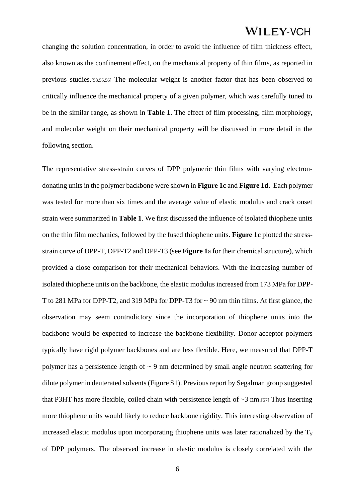changing the solution concentration, in order to avoid the influence of film thickness effect, also known as the confinement effect, on the mechanical property of thin films, as reported in previous studies.[53,55,56] The molecular weight is another factor that has been observed to critically influence the mechanical property of a given polymer, which was carefully tuned to be in the similar range, as shown in **Table 1**. The effect of film processing, film morphology, and molecular weight on their mechanical property will be discussed in more detail in the following section.

The representative stress-strain curves of DPP polymeric thin films with varying electrondonating units in the polymer backbone were shown in **Figure 1c** and **Figure 1d**. Each polymer was tested for more than six times and the average value of elastic modulus and crack onset strain were summarized in **Table 1**. We first discussed the influence of isolated thiophene units on the thin film mechanics, followed by the fused thiophene units. **Figure 1c** plotted the stressstrain curve of DPP-T, DPP-T2 and DPP-T3 (see **Figure 1**a for their chemical structure), which provided a close comparison for their mechanical behaviors. With the increasing number of isolated thiophene units on the backbone, the elastic modulus increased from 173 MPa for DPP-T to 281 MPa for DPP-T2, and 319 MPa for DPP-T3 for ~ 90 nm thin films. At first glance, the observation may seem contradictory since the incorporation of thiophene units into the backbone would be expected to increase the backbone flexibility. Donor-acceptor polymers typically have rigid polymer backbones and are less flexible. Here, we measured that DPP-T polymer has a persistence length of  $\sim$  9 nm determined by small angle neutron scattering for dilute polymer in deuterated solvents (Figure S1). Previous report by Segalman group suggested that P3HT has more flexible, coiled chain with persistence length of  $\sim$ 3 nm.[57] Thus inserting more thiophene units would likely to reduce backbone rigidity. This interesting observation of increased elastic modulus upon incorporating thiophene units was later rationalized by the  $T_g$ of DPP polymers. The observed increase in elastic modulus is closely correlated with the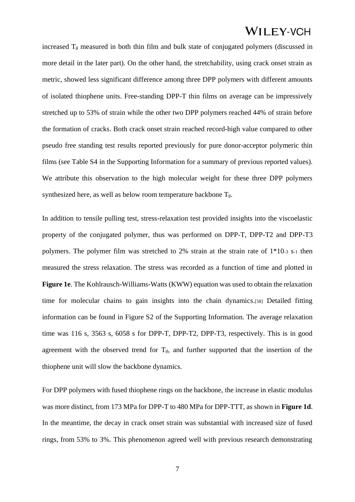increased  $T_g$  measured in both thin film and bulk state of conjugated polymers (discussed in more detail in the later part). On the other hand, the stretchability, using crack onset strain as metric, showed less significant difference among three DPP polymers with different amounts of isolated thiophene units. Free-standing DPP-T thin films on average can be impressively stretched up to 53% of strain while the other two DPP polymers reached 44% of strain before the formation of cracks. Both crack onset strain reached record-high value compared to other pseudo free standing test results reported previously for pure donor-acceptor polymeric thin films (see Table S4 in the Supporting Information for a summary of previous reported values). We attribute this observation to the high molecular weight for these three DPP polymers synthesized here, as well as below room temperature backbone T*g*.

In addition to tensile pulling test, stress-relaxation test provided insights into the viscoelastic property of the conjugated polymer, thus was performed on DPP-T, DPP-T2 and DPP-T3 polymers. The polymer film was stretched to 2% strain at the strain rate of 1\*10-3 s-1 then measured the stress relaxation. The stress was recorded as a function of time and plotted in **Figure 1e**. The Kohlrausch-Williams-Watts (KWW) equation was used to obtain the relaxation time for molecular chains to gain insights into the chain dynamics.[58] Detailed fitting information can be found in Figure S2 of the Supporting Information. The average relaxation time was 116 s, 3563 s, 6058 s for DPP-T, DPP-T2, DPP-T3, respectively. This is in good agreement with the observed trend for T*g*, and further supported that the insertion of the thiophene unit will slow the backbone dynamics.

For DPP polymers with fused thiophene rings on the backbone, the increase in elastic modulus was more distinct, from 173 MPa for DPP-T to 480 MPa for DPP-TTT, as shown in **Figure 1d**. In the meantime, the decay in crack onset strain was substantial with increased size of fused rings, from 53% to 3%. This phenomenon agreed well with previous research demonstrating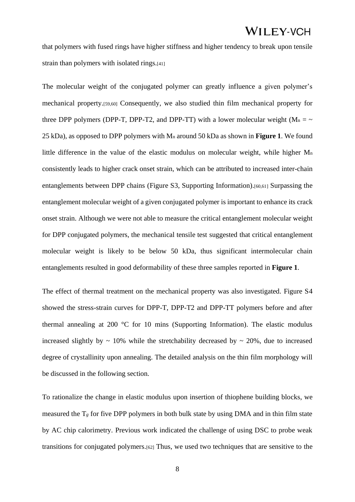that polymers with fused rings have higher stiffness and higher tendency to break upon tensile strain than polymers with isolated rings.<sup>[41]</sup>

The molecular weight of the conjugated polymer can greatly influence a given polymer's mechanical property.[59,60] Consequently, we also studied thin film mechanical property for three DPP polymers (DPP-T, DPP-T2, and DPP-TT) with a lower molecular weight ( $M_n = \sim$ 25 kDa), as opposed to DPP polymers with M<sup>n</sup> around 50 kDa as shown in **Figure 1**. We found little difference in the value of the elastic modulus on molecular weight, while higher M<sup>n</sup> consistently leads to higher crack onset strain, which can be attributed to increased inter-chain entanglements between DPP chains (Figure S3, Supporting Information).[60,61] Surpassing the entanglement molecular weight of a given conjugated polymer is important to enhance its crack onset strain. Although we were not able to measure the critical entanglement molecular weight for DPP conjugated polymers, the mechanical tensile test suggested that critical entanglement molecular weight is likely to be below 50 kDa, thus significant intermolecular chain entanglements resulted in good deformability of these three samples reported in **Figure 1**.

The effect of thermal treatment on the mechanical property was also investigated. Figure S4 showed the stress-strain curves for DPP-T, DPP-T2 and DPP-TT polymers before and after thermal annealing at 200 °C for 10 mins (Supporting Information). The elastic modulus increased slightly by  $\sim 10\%$  while the stretchability decreased by  $\sim 20\%$ , due to increased degree of crystallinity upon annealing. The detailed analysis on the thin film morphology will be discussed in the following section.

To rationalize the change in elastic modulus upon insertion of thiophene building blocks, we measured the  $T_g$  for five DPP polymers in both bulk state by using DMA and in thin film state by AC chip calorimetry. Previous work indicated the challenge of using DSC to probe weak transitions for conjugated polymers.[62] Thus, we used two techniques that are sensitive to the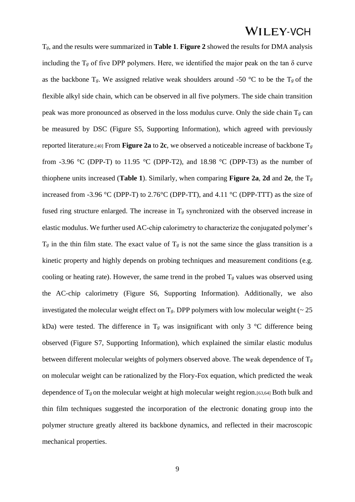T*g*, and the results were summarized in **Table 1**. **Figure 2** showed the results for DMA analysis including the  $T_g$  of five DPP polymers. Here, we identified the major peak on the tan  $\delta$  curve as the backbone  $T_g$ . We assigned relative weak shoulders around -50 °C to be the  $T_g$  of the flexible alkyl side chain, which can be observed in all five polymers. The side chain transition peak was more pronounced as observed in the loss modulus curve. Only the side chain T*<sup>g</sup>* can be measured by DSC (Figure S5, Supporting Information), which agreed with previously reported literature.<sup>[40]</sup> From **Figure 2a** to **2c**, we observed a noticeable increase of backbone  $T_g$ from -3.96 °C (DPP-T) to 11.95 °C (DPP-T2), and 18.98 °C (DPP-T3) as the number of thiophene units increased (**Table 1**). Similarly, when comparing **Figure 2a, 2d** and 2e, the  $T_g$ increased from -3.96 °C (DPP-T) to 2.76 °C (DPP-TT), and 4.11 °C (DPP-TTT) as the size of fused ring structure enlarged. The increase in T*<sup>g</sup>* synchronized with the observed increase in elastic modulus. We further used AC-chip calorimetry to characterize the conjugated polymer's  $T_g$  in the thin film state. The exact value of  $T_g$  is not the same since the glass transition is a kinetic property and highly depends on probing techniques and measurement conditions (e.g. cooling or heating rate). However, the same trend in the probed  $T_g$  values was observed using the AC-chip calorimetry (Figure S6, Supporting Information). Additionally, we also investigated the molecular weight effect on  $T_g$ . DPP polymers with low molecular weight ( $\sim 25$ ) kDa) were tested. The difference in  $T_g$  was insignificant with only 3 °C difference being observed (Figure S7, Supporting Information), which explained the similar elastic modulus between different molecular weights of polymers observed above. The weak dependence of T*<sup>g</sup>* on molecular weight can be rationalized by the Flory-Fox equation, which predicted the weak dependence of  $T_g$  on the molecular weight at high molecular weight region.<sup>[63,64]</sup> Both bulk and thin film techniques suggested the incorporation of the electronic donating group into the polymer structure greatly altered its backbone dynamics, and reflected in their macroscopic mechanical properties.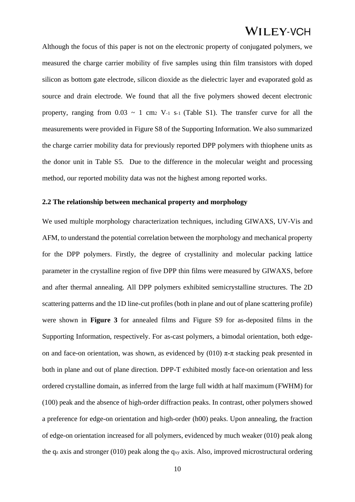Although the focus of this paper is not on the electronic property of conjugated polymers, we measured the charge carrier mobility of five samples using thin film transistors with doped silicon as bottom gate electrode, silicon dioxide as the dielectric layer and evaporated gold as source and drain electrode. We found that all the five polymers showed decent electronic property, ranging from  $0.03 \sim 1$  cm<sub>2</sub> V<sub>-1</sub> s<sub>-1</sub> (Table S1). The transfer curve for all the measurements were provided in Figure S8 of the Supporting Information. We also summarized the charge carrier mobility data for previously reported DPP polymers with thiophene units as the donor unit in Table S5. Due to the difference in the molecular weight and processing method, our reported mobility data was not the highest among reported works.

#### **2.2 The relationship between mechanical property and morphology**

We used multiple morphology characterization techniques, including GIWAXS, UV-Vis and AFM, to understand the potential correlation between the morphology and mechanical property for the DPP polymers. Firstly, the degree of crystallinity and molecular packing lattice parameter in the crystalline region of five DPP thin films were measured by GIWAXS, before and after thermal annealing. All DPP polymers exhibited semicrystalline structures. The 2D scattering patterns and the 1D line-cut profiles (both in plane and out of plane scattering profile) were shown in **Figure 3** for annealed films and Figure S9 for as-deposited films in the Supporting Information, respectively. For as-cast polymers, a bimodal orientation, both edgeon and face-on orientation, was shown, as evidenced by (010)  $\pi$ - $\pi$  stacking peak presented in both in plane and out of plane direction. DPP-T exhibited mostly face-on orientation and less ordered crystalline domain, as inferred from the large full width at half maximum (FWHM) for (100) peak and the absence of high-order diffraction peaks. In contrast, other polymers showed a preference for edge-on orientation and high-order (h00) peaks. Upon annealing, the fraction of edge-on orientation increased for all polymers, evidenced by much weaker (010) peak along the q<sup>z</sup> axis and stronger (010) peak along the qxy axis. Also, improved microstructural ordering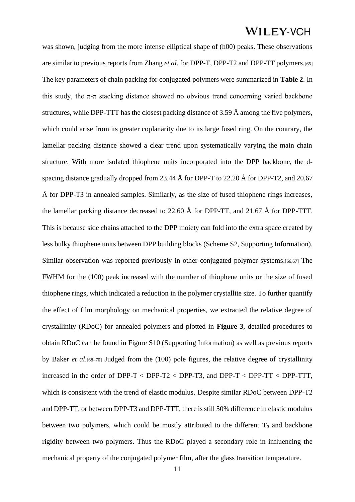was shown, judging from the more intense elliptical shape of (h00) peaks. These observations are similar to previous reports from Zhang *et al*. for DPP-T, DPP-T2 and DPP-TT polymers.[65] The key parameters of chain packing for conjugated polymers were summarized in **Table 2**. In this study, the  $\pi$ - $\pi$  stacking distance showed no obvious trend concerning varied backbone structures, while DPP-TTT has the closest packing distance of 3.59 Å among the five polymers, which could arise from its greater coplanarity due to its large fused ring. On the contrary, the lamellar packing distance showed a clear trend upon systematically varying the main chain structure. With more isolated thiophene units incorporated into the DPP backbone, the dspacing distance gradually dropped from 23.44 Å for DPP-T to 22.20 Å for DPP-T2, and 20.67 Å for DPP-T3 in annealed samples. Similarly, as the size of fused thiophene rings increases, the lamellar packing distance decreased to 22.60 Å for DPP-TT, and 21.67 Å for DPP-TTT. This is because side chains attached to the DPP moiety can fold into the extra space created by less bulky thiophene units between DPP building blocks (Scheme S2, Supporting Information). Similar observation was reported previously in other conjugated polymer systems.[66,67] The FWHM for the (100) peak increased with the number of thiophene units or the size of fused thiophene rings, which indicated a reduction in the polymer crystallite size. To further quantify the effect of film morphology on mechanical properties, we extracted the relative degree of crystallinity (RDoC) for annealed polymers and plotted in **Figure 3**, detailed procedures to obtain RDoC can be found in Figure S10 (Supporting Information) as well as previous reports by Baker *et al*.[68–70] Judged from the (100) pole figures, the relative degree of crystallinity increased in the order of DPP-T < DPP-T2 < DPP-T3, and DPP-T < DPP-TT < DPP-TTT, which is consistent with the trend of elastic modulus. Despite similar RDoC between DPP-T2 and DPP-TT, or between DPP-T3 and DPP-TTT, there is still 50% difference in elastic modulus between two polymers, which could be mostly attributed to the different  $T_g$  and backbone rigidity between two polymers. Thus the RDoC played a secondary role in influencing the mechanical property of the conjugated polymer film, after the glass transition temperature.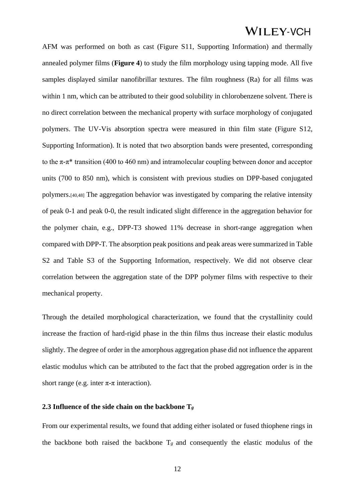AFM was performed on both as cast (Figure S11, Supporting Information) and thermally annealed polymer films (**Figure 4**) to study the film morphology using tapping mode. All five samples displayed similar nanofibrillar textures. The film roughness (Ra) for all films was within 1 nm, which can be attributed to their good solubility in chlorobenzene solvent. There is no direct correlation between the mechanical property with surface morphology of conjugated polymers. The UV-Vis absorption spectra were measured in thin film state (Figure S12, Supporting Information). It is noted that two absorption bands were presented, corresponding to the  $\pi$ - $\pi$ <sup>\*</sup> transition (400 to 460 nm) and intramolecular coupling between donor and acceptor units (700 to 850 nm), which is consistent with previous studies on DPP-based conjugated polymers.[40,48] The aggregation behavior was investigated by comparing the relative intensity of peak 0-1 and peak 0-0, the result indicated slight difference in the aggregation behavior for the polymer chain, e.g., DPP-T3 showed 11% decrease in short-range aggregation when compared with DPP-T. The absorption peak positions and peak areas were summarized in Table S2 and Table S3 of the Supporting Information, respectively. We did not observe clear correlation between the aggregation state of the DPP polymer films with respective to their mechanical property.

Through the detailed morphological characterization, we found that the crystallinity could increase the fraction of hard-rigid phase in the thin films thus increase their elastic modulus slightly. The degree of order in the amorphous aggregation phase did not influence the apparent elastic modulus which can be attributed to the fact that the probed aggregation order is in the short range (e.g. inter  $\pi$ - $\pi$  interaction).

#### **2.3 Influence of the side chain on the backbone T***<sup>g</sup>*

From our experimental results, we found that adding either isolated or fused thiophene rings in the backbone both raised the backbone  $T_g$  and consequently the elastic modulus of the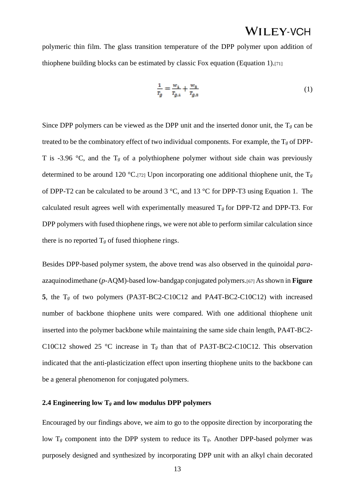polymeric thin film. The glass transition temperature of the DPP polymer upon addition of thiophene building blocks can be estimated by classic Fox equation (Equation 1).[71]

$$
\frac{1}{T_g} = \frac{w_1}{T_{g,1}} + \frac{w_2}{T_{g,2}}\tag{1}
$$

Since DPP polymers can be viewed as the DPP unit and the inserted donor unit, the  $T_g$  can be treated to be the combinatory effect of two individual components. For example, the T*<sup>g</sup>* of DPP-T is -3.96  $\degree$ C, and the T<sub>g</sub> of a polythiophene polymer without side chain was previously determined to be around 120 °C.[72] Upon incorporating one additional thiophene unit, the T*<sup>g</sup>* of DPP-T2 can be calculated to be around 3 °C, and 13 °C for DPP-T3 using Equation 1. The calculated result agrees well with experimentally measured  $T_g$  for DPP-T2 and DPP-T3. For DPP polymers with fused thiophene rings, we were not able to perform similar calculation since there is no reported  $T_g$  of fused thiophene rings.

Besides DPP-based polymer system, the above trend was also observed in the quinoidal *para*azaquinodimethane (*p*-AQM)-based low-bandgap conjugated polymers.[67] As shown in **Figure 5**, the T*<sup>g</sup>* of two polymers (PA3T-BC2-C10C12 and PA4T-BC2-C10C12) with increased number of backbone thiophene units were compared. With one additional thiophene unit inserted into the polymer backbone while maintaining the same side chain length, PA4T-BC2- C10C12 showed 25 °C increase in  $T_g$  than that of PA3T-BC2-C10C12. This observation indicated that the anti-plasticization effect upon inserting thiophene units to the backbone can be a general phenomenon for conjugated polymers.

#### **2.4 Engineering low T***<sup>g</sup>* **and low modulus DPP polymers**

Encouraged by our findings above, we aim to go to the opposite direction by incorporating the low  $T_g$  component into the DPP system to reduce its  $T_g$ . Another DPP-based polymer was purposely designed and synthesized by incorporating DPP unit with an alkyl chain decorated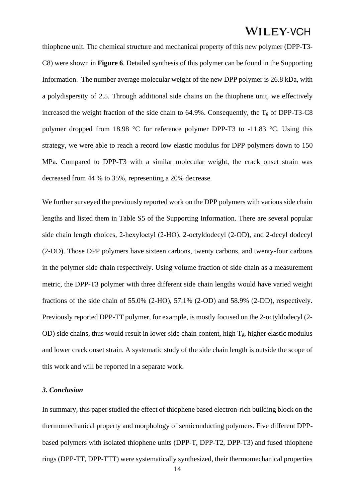thiophene unit. The chemical structure and mechanical property of this new polymer (DPP-T3- C8) were shown in **Figure 6**. Detailed synthesis of this polymer can be found in the Supporting Information. The number average molecular weight of the new DPP polymer is 26.8 kDa, with a polydispersity of 2.5. Through additional side chains on the thiophene unit, we effectively increased the weight fraction of the side chain to  $64.9\%$ . Consequently, the T<sub>g</sub> of DPP-T3-C8 polymer dropped from 18.98 °C for reference polymer DPP-T3 to -11.83 °C. Using this strategy, we were able to reach a record low elastic modulus for DPP polymers down to 150 MPa. Compared to DPP-T3 with a similar molecular weight, the crack onset strain was decreased from 44 % to 35%, representing a 20% decrease.

We further surveyed the previously reported work on the DPP polymers with various side chain lengths and listed them in Table S5 of the Supporting Information. There are several popular side chain length choices, 2-hexyloctyl (2-HO), 2-octyldodecyl (2-OD), and 2-decyl dodecyl (2-DD). Those DPP polymers have sixteen carbons, twenty carbons, and twenty-four carbons in the polymer side chain respectively. Using volume fraction of side chain as a measurement metric, the DPP-T3 polymer with three different side chain lengths would have varied weight fractions of the side chain of 55.0% (2-HO), 57.1% (2-OD) and 58.9% (2-DD), respectively. Previously reported DPP-TT polymer, for example, is mostly focused on the 2-octyldodecyl (2- OD) side chains, thus would result in lower side chain content, high T*g*, higher elastic modulus and lower crack onset strain. A systematic study of the side chain length is outside the scope of this work and will be reported in a separate work.

#### *3. Conclusion*

In summary, this paper studied the effect of thiophene based electron-rich building block on the thermomechanical property and morphology of semiconducting polymers. Five different DPPbased polymers with isolated thiophene units (DPP-T, DPP-T2, DPP-T3) and fused thiophene rings (DPP-TT, DPP-TTT) were systematically synthesized, their thermomechanical properties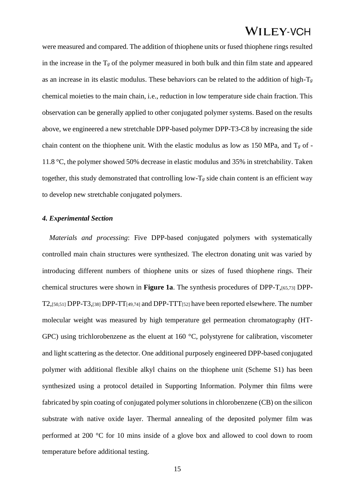were measured and compared. The addition of thiophene units or fused thiophene rings resulted in the increase in the  $T_g$  of the polymer measured in both bulk and thin film state and appeared as an increase in its elastic modulus. These behaviors can be related to the addition of high-T*<sup>g</sup>* chemical moieties to the main chain, i.e., reduction in low temperature side chain fraction. This observation can be generally applied to other conjugated polymer systems. Based on the results above, we engineered a new stretchable DPP-based polymer DPP-T3-C8 by increasing the side chain content on the thiophene unit. With the elastic modulus as low as 150 MPa, and T*<sup>g</sup>* of - 11.8 °C, the polymer showed 50% decrease in elastic modulus and 35% in stretchability. Taken together, this study demonstrated that controlling low-T*<sup>g</sup>* side chain content is an efficient way to develop new stretchable conjugated polymers.

#### *4. Experimental Section*

*Materials and processing*: Five DPP-based conjugated polymers with systematically controlled main chain structures were synthesized. The electron donating unit was varied by introducing different numbers of thiophene units or sizes of fused thiophene rings. Their chemical structures were shown in **Figure 1a**. The synthesis procedures of DPP-T,[65,73] DPP-T2,[50,51] DPP-T3,[38] DPP-TT[49,74] and DPP-TTT[52] have been reported elsewhere. The number molecular weight was measured by high temperature gel permeation chromatography (HT-GPC) using trichlorobenzene as the eluent at 160 °C, polystyrene for calibration, viscometer and light scattering as the detector. One additional purposely engineered DPP-based conjugated polymer with additional flexible alkyl chains on the thiophene unit (Scheme S1) has been synthesized using a protocol detailed in Supporting Information. Polymer thin films were fabricated by spin coating of conjugated polymer solutions in chlorobenzene (CB) on the silicon substrate with native oxide layer. Thermal annealing of the deposited polymer film was performed at 200 °C for 10 mins inside of a glove box and allowed to cool down to room temperature before additional testing.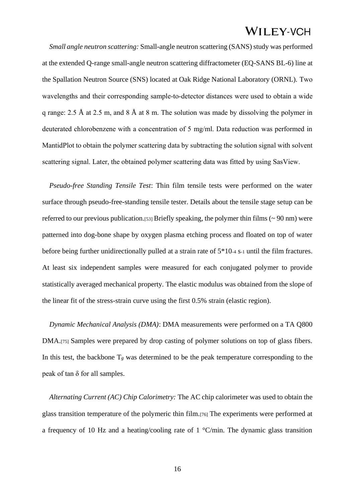*Small angle neutron scattering:* Small-angle neutron scattering (SANS) study was performed at the extended Q-range small-angle neutron scattering diffractometer (EQ-SANS BL-6) line at the Spallation Neutron Source (SNS) located at Oak Ridge National Laboratory (ORNL). Two wavelengths and their corresponding sample-to-detector distances were used to obtain a wide q range: 2.5 Å at 2.5 m, and 8 Å at 8 m. The solution was made by dissolving the polymer in deuterated chlorobenzene with a concentration of 5 mg/ml. Data reduction was performed in MantidPlot to obtain the polymer scattering data by subtracting the solution signal with solvent scattering signal. Later, the obtained polymer scattering data was fitted by using SasView.

*Pseudo-free Standing Tensile Test*: Thin film tensile tests were performed on the water surface through pseudo-free-standing tensile tester. Details about the tensile stage setup can be referred to our previous publication.<sup>[53]</sup> Briefly speaking, the polymer thin films ( $\sim$  90 nm) were patterned into dog-bone shape by oxygen plasma etching process and floated on top of water before being further unidirectionally pulled at a strain rate of 5\*10-4 s-1 until the film fractures. At least six independent samples were measured for each conjugated polymer to provide statistically averaged mechanical property. The elastic modulus was obtained from the slope of the linear fit of the stress-strain curve using the first 0.5% strain (elastic region).

*Dynamic Mechanical Analysis (DMA)*: DMA measurements were performed on a TA Q800 DMA.[75] Samples were prepared by drop casting of polymer solutions on top of glass fibers. In this test, the backbone  $T_g$  was determined to be the peak temperature corresponding to the peak of tan δ for all samples.

*Alternating Current (AC) Chip Calorimetry:* The AC chip calorimeter was used to obtain the glass transition temperature of the polymeric thin film.[76] The experiments were performed at a frequency of 10 Hz and a heating/cooling rate of 1 °C/min. The dynamic glass transition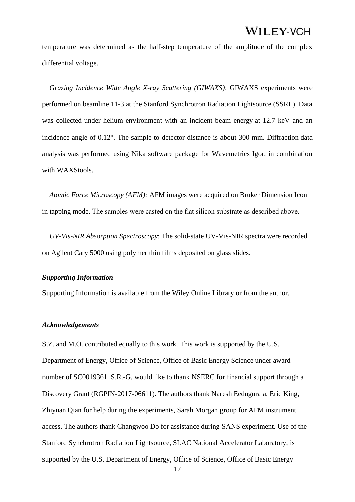temperature was determined as the half-step temperature of the amplitude of the complex differential voltage.

*Grazing Incidence Wide Angle X-ray Scattering (GIWAXS)*: GIWAXS experiments were performed on beamline 11-3 at the Stanford Synchrotron Radiation Lightsource (SSRL). Data was collected under helium environment with an incident beam energy at 12.7 keV and an incidence angle of 0.12°. The sample to detector distance is about 300 mm. Diffraction data analysis was performed using Nika software package for Wavemetrics Igor, in combination with WAXStools.

*Atomic Force Microscopy (AFM):* AFM images were acquired on Bruker Dimension Icon in tapping mode. The samples were casted on the flat silicon substrate as described above.

*UV-Vis-NIR Absorption Spectroscopy*: The solid-state UV-Vis-NIR spectra were recorded on Agilent Cary 5000 using polymer thin films deposited on glass slides.

#### *Supporting Information*

Supporting Information is available from the Wiley Online Library or from the author.

#### *Acknowledgements*

S.Z. and M.O. contributed equally to this work. This work is supported by the U.S. Department of Energy, Office of Science, Office of Basic Energy Science under award number of SC0019361. S.R.-G. would like to thank NSERC for financial support through a Discovery Grant (RGPIN-2017-06611). The authors thank Naresh Eedugurala, Eric King, Zhiyuan Qian for help during the experiments, Sarah Morgan group for AFM instrument access. The authors thank Changwoo Do for assistance during SANS experiment. Use of the Stanford Synchrotron Radiation Lightsource, SLAC National Accelerator Laboratory, is supported by the U.S. Department of Energy, Office of Science, Office of Basic Energy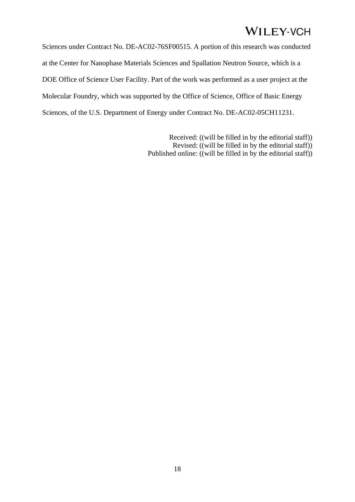Sciences under Contract No. DE-AC02-76SF00515. A portion of this research was conducted at the Center for Nanophase Materials Sciences and Spallation Neutron Source, which is a DOE Office of Science User Facility. Part of the work was performed as a user project at the Molecular Foundry, which was supported by the Office of Science, Office of Basic Energy Sciences, of the U.S. Department of Energy under Contract No. DE-AC02-05CH11231.

> Received: ((will be filled in by the editorial staff)) Revised: ((will be filled in by the editorial staff)) Published online: ((will be filled in by the editorial staff))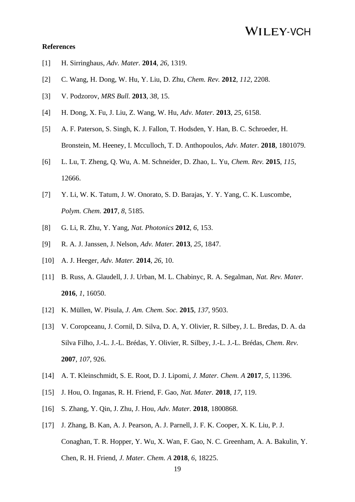#### **References**

- [1] H. Sirringhaus, *Adv. Mater.* **2014**, *26*, 1319.
- [2] C. Wang, H. Dong, W. Hu, Y. Liu, D. Zhu, *Chem. Rev.* **2012**, *112*, 2208.
- [3] V. Podzorov, *MRS Bull.* **2013**, *38*, 15.
- [4] H. Dong, X. Fu, J. Liu, Z. Wang, W. Hu, *Adv. Mater.* **2013**, *25*, 6158.
- [5] A. F. Paterson, S. Singh, K. J. Fallon, T. Hodsden, Y. Han, B. C. Schroeder, H. Bronstein, M. Heeney, I. Mcculloch, T. D. Anthopoulos, *Adv. Mater.* **2018**, 1801079.
- [6] L. Lu, T. Zheng, Q. Wu, A. M. Schneider, D. Zhao, L. Yu, *Chem. Rev.* **2015**, *115*, 12666.
- [7] Y. Li, W. K. Tatum, J. W. Onorato, S. D. Barajas, Y. Y. Yang, C. K. Luscombe, *Polym. Chem.* **2017**, *8*, 5185.
- [8] G. Li, R. Zhu, Y. Yang, *Nat. Photonics* **2012**, *6*, 153.
- [9] R. A. J. Janssen, J. Nelson, *Adv. Mater.* **2013**, *25*, 1847.
- [10] A. J. Heeger, *Adv. Mater.* **2014**, *26*, 10.
- [11] B. Russ, A. Glaudell, J. J. Urban, M. L. Chabinyc, R. A. Segalman, *Nat. Rev. Mater.* **2016**, *1*, 16050.
- [12] K. Müllen, W. Pisula, *J. Am. Chem. Soc.* **2015**, *137*, 9503.
- [13] V. Coropceanu, J. Cornil, D. Silva, D. A, Y. Olivier, R. Silbey, J. L. Bredas, D. A. da Silva Filho, J.-L. J.-L. Brédas, Y. Olivier, R. Silbey, J.-L. J.-L. Brédas, *Chem. Rev.* **2007**, *107*, 926.
- [14] A. T. Kleinschmidt, S. E. Root, D. J. Lipomi, *J. Mater. Chem. A* **2017**, *5*, 11396.
- [15] J. Hou, O. Inganas, R. H. Friend, F. Gao, *Nat. Mater.* **2018**, *17*, 119.
- [16] S. Zhang, Y. Qin, J. Zhu, J. Hou, *Adv. Mater.* **2018**, 1800868.
- [17] J. Zhang, B. Kan, A. J. Pearson, A. J. Parnell, J. F. K. Cooper, X. K. Liu, P. J. Conaghan, T. R. Hopper, Y. Wu, X. Wan, F. Gao, N. C. Greenham, A. A. Bakulin, Y. Chen, R. H. Friend, *J. Mater. Chem. A* **2018**, *6*, 18225.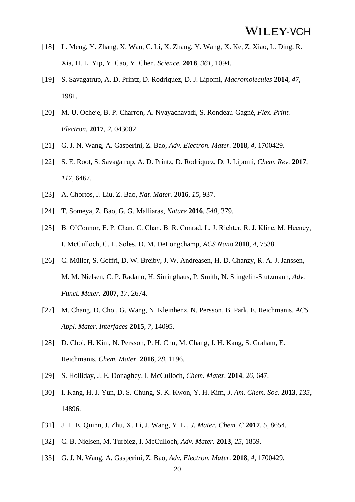- [18] L. Meng, Y. Zhang, X. Wan, C. Li, X. Zhang, Y. Wang, X. Ke, Z. Xiao, L. Ding, R. Xia, H. L. Yip, Y. Cao, Y. Chen, *Science.* **2018**, *361*, 1094.
- [19] S. Savagatrup, A. D. Printz, D. Rodriquez, D. J. Lipomi, *Macromolecules* **2014**, *47*, 1981.
- [20] M. U. Ocheje, B. P. Charron, A. Nyayachavadi, S. Rondeau-Gagné, *Flex. Print. Electron.* **2017**, *2*, 043002.
- [21] G. J. N. Wang, A. Gasperini, Z. Bao, *Adv. Electron. Mater.* **2018**, *4*, 1700429.
- [22] S. E. Root, S. Savagatrup, A. D. Printz, D. Rodriquez, D. J. Lipomi, *Chem. Rev.* **2017**, *117*, 6467.
- [23] A. Chortos, J. Liu, Z. Bao, *Nat. Mater.* **2016**, *15*, 937.
- [24] T. Someya, Z. Bao, G. G. Malliaras, *Nature* **2016**, *540*, 379.
- [25] B. O'Connor, E. P. Chan, C. Chan, B. R. Conrad, L. J. Richter, R. J. Kline, M. Heeney, I. McCulloch, C. L. Soles, D. M. DeLongchamp, *ACS Nano* **2010**, *4*, 7538.
- [26] C. Müller, S. Goffri, D. W. Breiby, J. W. Andreasen, H. D. Chanzy, R. A. J. Janssen, M. M. Nielsen, C. P. Radano, H. Sirringhaus, P. Smith, N. Stingelin-Stutzmann, *Adv. Funct. Mater.* **2007**, *17*, 2674.
- [27] M. Chang, D. Choi, G. Wang, N. Kleinhenz, N. Persson, B. Park, E. Reichmanis, *ACS Appl. Mater. Interfaces* **2015**, *7*, 14095.
- [28] D. Choi, H. Kim, N. Persson, P. H. Chu, M. Chang, J. H. Kang, S. Graham, E. Reichmanis, *Chem. Mater.* **2016**, *28*, 1196.
- [29] S. Holliday, J. E. Donaghey, I. McCulloch, *Chem. Mater.* **2014**, *26*, 647.
- [30] I. Kang, H. J. Yun, D. S. Chung, S. K. Kwon, Y. H. Kim, *J. Am. Chem. Soc.* **2013**, *135*, 14896.
- [31] J. T. E. Quinn, J. Zhu, X. Li, J. Wang, Y. Li, *J. Mater. Chem. C* **2017**, *5*, 8654.
- [32] C. B. Nielsen, M. Turbiez, I. McCulloch, *Adv. Mater.* **2013**, *25*, 1859.
- [33] G. J. N. Wang, A. Gasperini, Z. Bao, *Adv. Electron. Mater.* **2018**, *4*, 1700429.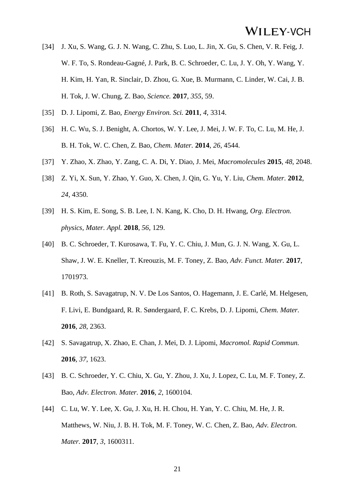- [34] J. Xu, S. Wang, G. J. N. Wang, C. Zhu, S. Luo, L. Jin, X. Gu, S. Chen, V. R. Feig, J. W. F. To, S. Rondeau-Gagné, J. Park, B. C. Schroeder, C. Lu, J. Y. Oh, Y. Wang, Y. H. Kim, H. Yan, R. Sinclair, D. Zhou, G. Xue, B. Murmann, C. Linder, W. Cai, J. B. H. Tok, J. W. Chung, Z. Bao, *Science.* **2017**, *355*, 59.
- [35] D. J. Lipomi, Z. Bao, *Energy Environ. Sci.* **2011**, *4*, 3314.
- [36] H. C. Wu, S. J. Benight, A. Chortos, W. Y. Lee, J. Mei, J. W. F. To, C. Lu, M. He, J. B. H. Tok, W. C. Chen, Z. Bao, *Chem. Mater.* **2014**, *26*, 4544.
- [37] Y. Zhao, X. Zhao, Y. Zang, C. A. Di, Y. Diao, J. Mei, *Macromolecules* **2015**, *48*, 2048.
- [38] Z. Yi, X. Sun, Y. Zhao, Y. Guo, X. Chen, J. Qin, G. Yu, Y. Liu, *Chem. Mater.* **2012**, *24*, 4350.
- [39] H. S. Kim, E. Song, S. B. Lee, I. N. Kang, K. Cho, D. H. Hwang, *Org. Electron. physics, Mater. Appl.* **2018**, *56*, 129.
- [40] B. C. Schroeder, T. Kurosawa, T. Fu, Y. C. Chiu, J. Mun, G. J. N. Wang, X. Gu, L. Shaw, J. W. E. Kneller, T. Kreouzis, M. F. Toney, Z. Bao, *Adv. Funct. Mater.* **2017**, 1701973.
- [41] B. Roth, S. Savagatrup, N. V. De Los Santos, O. Hagemann, J. E. Carlé, M. Helgesen, F. Livi, E. Bundgaard, R. R. Søndergaard, F. C. Krebs, D. J. Lipomi, *Chem. Mater.* **2016**, *28*, 2363.
- [42] S. Savagatrup, X. Zhao, E. Chan, J. Mei, D. J. Lipomi, *Macromol. Rapid Commun.* **2016**, *37*, 1623.
- [43] B. C. Schroeder, Y. C. Chiu, X. Gu, Y. Zhou, J. Xu, J. Lopez, C. Lu, M. F. Toney, Z. Bao, *Adv. Electron. Mater.* **2016**, *2*, 1600104.
- [44] C. Lu, W. Y. Lee, X. Gu, J. Xu, H. H. Chou, H. Yan, Y. C. Chiu, M. He, J. R. Matthews, W. Niu, J. B. H. Tok, M. F. Toney, W. C. Chen, Z. Bao, *Adv. Electron. Mater.* **2017**, *3*, 1600311.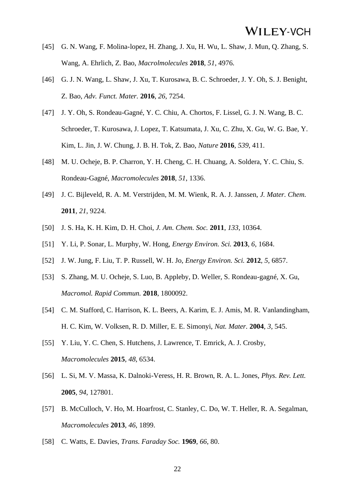- [45] G. N. Wang, F. Molina-lopez, H. Zhang, J. Xu, H. Wu, L. Shaw, J. Mun, Q. Zhang, S. Wang, A. Ehrlich, Z. Bao, *Macrolmolecules* **2018**, *51*, 4976.
- [46] G. J. N. Wang, L. Shaw, J. Xu, T. Kurosawa, B. C. Schroeder, J. Y. Oh, S. J. Benight, Z. Bao, *Adv. Funct. Mater.* **2016**, *26*, 7254.
- [47] J. Y. Oh, S. Rondeau-Gagné, Y. C. Chiu, A. Chortos, F. Lissel, G. J. N. Wang, B. C. Schroeder, T. Kurosawa, J. Lopez, T. Katsumata, J. Xu, C. Zhu, X. Gu, W. G. Bae, Y. Kim, L. Jin, J. W. Chung, J. B. H. Tok, Z. Bao, *Nature* **2016**, *539*, 411.
- [48] M. U. Ocheje, B. P. Charron, Y. H. Cheng, C. H. Chuang, A. Soldera, Y. C. Chiu, S. Rondeau-Gagné, *Macromolecules* **2018**, *51*, 1336.
- [49] J. C. Bijleveld, R. A. M. Verstrijden, M. M. Wienk, R. A. J. Janssen, *J. Mater. Chem.* **2011**, *21*, 9224.
- [50] J. S. Ha, K. H. Kim, D. H. Choi, *J. Am. Chem. Soc.* **2011**, *133*, 10364.
- [51] Y. Li, P. Sonar, L. Murphy, W. Hong, *Energy Environ. Sci.* **2013**, *6*, 1684.
- [52] J. W. Jung, F. Liu, T. P. Russell, W. H. Jo, *Energy Environ. Sci.* **2012**, *5*, 6857.
- [53] S. Zhang, M. U. Ocheje, S. Luo, B. Appleby, D. Weller, S. Rondeau-gagné, X. Gu, *Macromol. Rapid Commun.* **2018**, 1800092.
- [54] C. M. Stafford, C. Harrison, K. L. Beers, A. Karim, E. J. Amis, M. R. Vanlandingham, H. C. Kim, W. Volksen, R. D. Miller, E. E. Simonyi, *Nat. Mater.* **2004**, *3*, 545.
- [55] Y. Liu, Y. C. Chen, S. Hutchens, J. Lawrence, T. Emrick, A. J. Crosby, *Macromolecules* **2015**, *48*, 6534.
- [56] L. Si, M. V. Massa, K. Dalnoki-Veress, H. R. Brown, R. A. L. Jones, *Phys. Rev. Lett.* **2005**, *94*, 127801.
- [57] B. McCulloch, V. Ho, M. Hoarfrost, C. Stanley, C. Do, W. T. Heller, R. A. Segalman, *Macromolecules* **2013**, *46*, 1899.
- [58] C. Watts, E. Davies, *Trans. Faraday Soc.* **1969**, *66*, 80.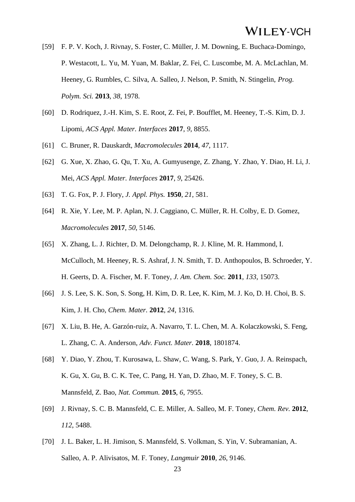- [59] F. P. V. Koch, J. Rivnay, S. Foster, C. Müller, J. M. Downing, E. Buchaca-Domingo, P. Westacott, L. Yu, M. Yuan, M. Baklar, Z. Fei, C. Luscombe, M. A. McLachlan, M. Heeney, G. Rumbles, C. Silva, A. Salleo, J. Nelson, P. Smith, N. Stingelin, *Prog. Polym. Sci.* **2013**, *38*, 1978.
- [60] D. Rodriquez, J.-H. Kim, S. E. Root, Z. Fei, P. Boufflet, M. Heeney, T.-S. Kim, D. J. Lipomi, *ACS Appl. Mater. Interfaces* **2017**, *9*, 8855.
- [61] C. Bruner, R. Dauskardt, *Macromolecules* **2014**, *47*, 1117.
- [62] G. Xue, X. Zhao, G. Qu, T. Xu, A. Gumyusenge, Z. Zhang, Y. Zhao, Y. Diao, H. Li, J. Mei, *ACS Appl. Mater. Interfaces* **2017**, *9*, 25426.
- [63] T. G. Fox, P. J. Flory, *J. Appl. Phys.* **1950**, *21*, 581.
- [64] R. Xie, Y. Lee, M. P. Aplan, N. J. Caggiano, C. Müller, R. H. Colby, E. D. Gomez, *Macromolecules* **2017**, *50*, 5146.
- [65] X. Zhang, L. J. Richter, D. M. Delongchamp, R. J. Kline, M. R. Hammond, I. McCulloch, M. Heeney, R. S. Ashraf, J. N. Smith, T. D. Anthopoulos, B. Schroeder, Y. H. Geerts, D. A. Fischer, M. F. Toney, *J. Am. Chem. Soc.* **2011**, *133*, 15073.
- [66] J. S. Lee, S. K. Son, S. Song, H. Kim, D. R. Lee, K. Kim, M. J. Ko, D. H. Choi, B. S. Kim, J. H. Cho, *Chem. Mater.* **2012**, *24*, 1316.
- [67] X. Liu, B. He, A. Garzón-ruiz, A. Navarro, T. L. Chen, M. A. Kolaczkowski, S. Feng, L. Zhang, C. A. Anderson, *Adv. Funct. Mater.* **2018**, 1801874.
- [68] Y. Diao, Y. Zhou, T. Kurosawa, L. Shaw, C. Wang, S. Park, Y. Guo, J. A. Reinspach, K. Gu, X. Gu, B. C. K. Tee, C. Pang, H. Yan, D. Zhao, M. F. Toney, S. C. B. Mannsfeld, Z. Bao, *Nat. Commun.* **2015**, *6*, 7955.
- [69] J. Rivnay, S. C. B. Mannsfeld, C. E. Miller, A. Salleo, M. F. Toney, *Chem. Rev.* **2012**, *112*, 5488.
- [70] J. L. Baker, L. H. Jimison, S. Mannsfeld, S. Volkman, S. Yin, V. Subramanian, A. Salleo, A. P. Alivisatos, M. F. Toney, *Langmuir* **2010**, *26*, 9146.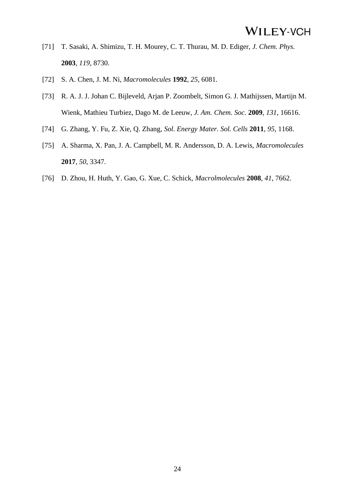- [71] T. Sasaki, A. Shimizu, T. H. Mourey, C. T. Thurau, M. D. Ediger, *J. Chem. Phys.* **2003**, *119*, 8730.
- [72] S. A. Chen, J. M. Ni, *Macromolecules* **1992**, *25*, 6081.
- [73] R. A. J. J. Johan C. Bijleveld, Arjan P. Zoombelt, Simon G. J. Mathijssen, Martijn M. Wienk, Mathieu Turbiez, Dago M. de Leeuw, *J. Am. Chem. Soc.* **2009**, *131*, 16616.
- [74] G. Zhang, Y. Fu, Z. Xie, Q. Zhang, *Sol. Energy Mater. Sol. Cells* **2011**, *95*, 1168.
- [75] A. Sharma, X. Pan, J. A. Campbell, M. R. Andersson, D. A. Lewis, *Macromolecules* **2017**, *50*, 3347.
- [76] D. Zhou, H. Huth, Y. Gao, G. Xue, C. Schick, *Macrolmolecules* **2008**, *41*, 7662.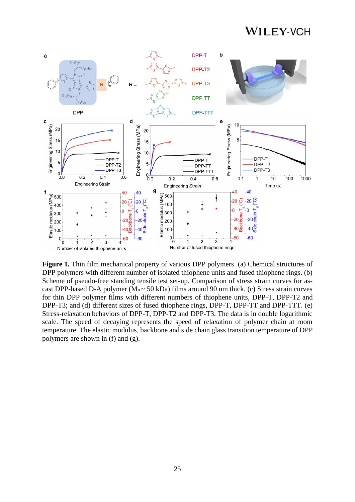

**Figure 1.** Thin film mechanical property of various DPP polymers. (a) Chemical structures of DPP polymers with different number of isolated thiophene units and fused thiophene rings. (b) Scheme of pseudo-free standing tensile test set-up. Comparison of stress strain curves for ascast DPP-based D-A polymer ( $M_n \sim 50$  kDa) films around 90 nm thick. (c) Stress strain curves for thin DPP polymer films with different numbers of thiophene units, DPP-T, DPP-T2 and DPP-T3; and (d) different sizes of fused thiophene rings, DPP-T, DPP-TT and DPP-TTT. (e) Stress-relaxation behaviors of DPP-T, DPP-T2 and DPP-T3. The data is in double logarithmic scale. The speed of decaying represents the speed of relaxation of polymer chain at room temperature. The elastic modulus, backbone and side chain glass transition temperature of DPP polymers are shown in (f) and (g).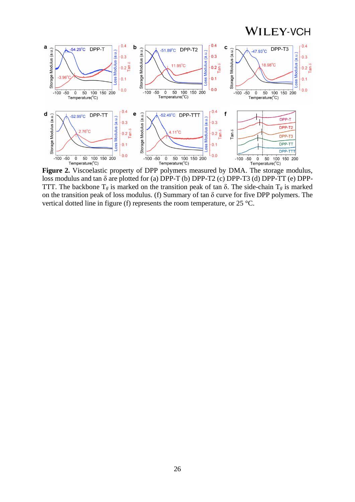

**Figure 2.** Viscoelastic property of DPP polymers measured by DMA. The storage modulus, loss modulus and tan δ are plotted for (a) DPP-T (b) DPP-T2 (c) DPP-T3 (d) DPP-TT (e) DPP-TTT. The backbone  $T_g$  is marked on the transition peak of tan  $\delta$ . The side-chain  $T_g$  is marked on the transition peak of loss modulus. (f) Summary of tan δ curve for five DPP polymers. The vertical dotted line in figure (f) represents the room temperature, or 25 °C.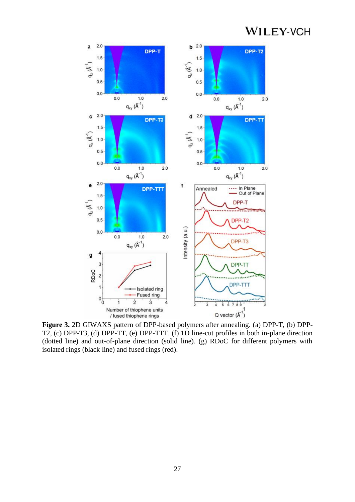

**Figure 3.** 2D GIWAXS pattern of DPP-based polymers after annealing. (a) DPP-T, (b) DPP-T2, (c) DPP-T3, (d) DPP-TT, (e) DPP-TTT. (f) 1D line-cut profiles in both in-plane direction (dotted line) and out-of-plane direction (solid line). (g) RDoC for different polymers with isolated rings (black line) and fused rings (red).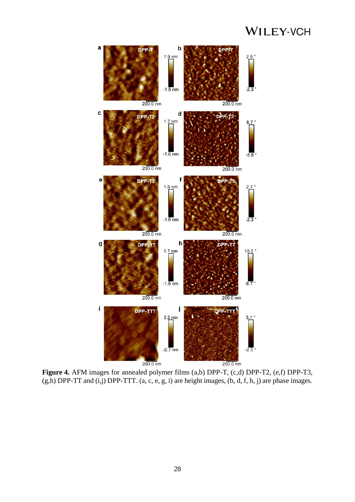

**Figure 4.** AFM images for annealed polymer films (a,b) DPP-T, (c,d) DPP-T2, (e,f) DPP-T3,  $(g,h)$  DPP-TT and  $(i,j)$  DPP-TTT.  $(a, c, e, g, i)$  are height images,  $(b, d, f, h, j)$  are phase images.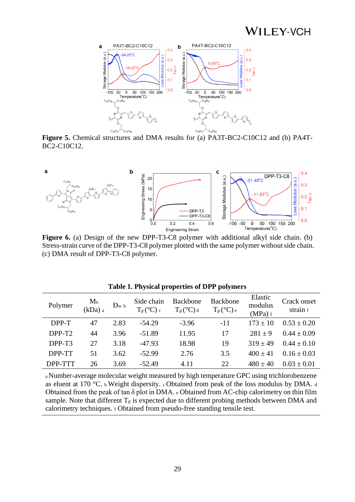

**Figure 5.** Chemical structures and DMA results for (a) PA3T-BC2-C10C12 and (b) PA4T-BC2-C10C12.



**Figure 6.** (a) Design of the new DPP-T3-C8 polymer with additional alkyl side chain. (b) Stress-strain curve of the DPP-T3-C8 polymer plotted with the same polymer without side chain. (c) DMA result of DPP-T3-C8 polymer.

| Polymer            | $M_n$<br>(kDa) a | Dw b | Side chain<br>$T_g$ (°C) c | <b>Backbone</b><br>$T_g$ (°C) d | Backbone<br>$T_g$ (°C) e | Elastic<br>modulus<br>$(MPa)$ f | Crack onset<br>strain f |
|--------------------|------------------|------|----------------------------|---------------------------------|--------------------------|---------------------------------|-------------------------|
| DPP-T              | 47               | 2.83 | $-54.29$                   | $-3.96$                         | $-11$                    | $173 + 10$                      | $0.53 \pm 0.20$         |
| DPP-T <sub>2</sub> | 44               | 3.96 | $-51.89$                   | 11.95                           | 17                       | $281 \pm 9$                     | $0.44 \pm 0.09$         |
| DPP-T3             | 27               | 3.18 | $-47.93$                   | 18.98                           | 19                       | $319 + 49$                      | $0.44 + 0.10$           |
| DPP-TT             | 51               | 3.62 | $-52.99$                   | 2.76                            | 3.5                      | $400 + 41$                      | $0.16 \pm 0.03$         |
| DPP-TTT            | 26               | 3.69 | $-52.49$                   | 4.11                            | 22                       | $480 \pm 40$                    | $0.03 + 0.01$           |

**Table 1. Physical properties of DPP polymers**

<sup>a</sup>Number-average molecular weight measured by high temperature GPC using trichlorobenzene as eluent at 170 °C. b Weight dispersity. c Obtained from peak of the loss modulus by DMA. <sup>d</sup> Obtained from the peak of tan δ plot in DMA. <sup>e</sup> Obtained from AC-chip calorimetry on thin film sample. Note that different  $T_g$  is expected due to different probing methods between DMA and calorimetry techniques. <sup>f</sup> Obtained from pseudo-free standing tensile test.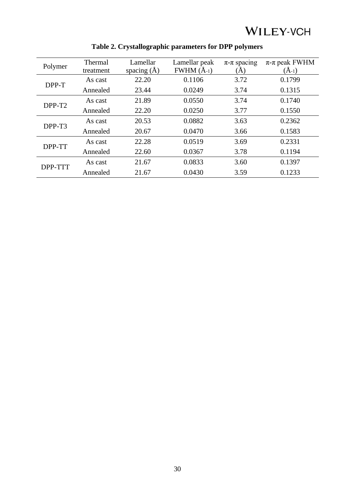| Polymer            | Thermal<br>treatment | Lamellar<br>spacing $(\AA)$ | Lamellar peak<br>$FWHM(A-1)$ | $\pi$ - $\pi$ spacing<br>(A) | $\pi$ - $\pi$ peak FWHM<br>$\rm(\AA_{-1})$ |
|--------------------|----------------------|-----------------------------|------------------------------|------------------------------|--------------------------------------------|
| DPP-T              | As cast              | 22.20                       | 0.1106                       | 3.72                         | 0.1799                                     |
|                    | Annealed             | 23.44                       | 0.0249                       | 3.74                         | 0.1315                                     |
| DPP-T <sub>2</sub> | As cast              | 21.89                       | 0.0550                       | 3.74                         | 0.1740                                     |
|                    | Annealed             | 22.20                       | 0.0250                       | 3.77                         | 0.1550                                     |
| DPP-T3             | As cast              | 20.53                       | 0.0882                       | 3.63                         | 0.2362                                     |
|                    | Annealed             | 20.67                       | 0.0470                       | 3.66                         | 0.1583                                     |
| DPP-TT             | As cast              | 22.28                       | 0.0519                       | 3.69                         | 0.2331                                     |
|                    | Annealed             | 22.60                       | 0.0367                       | 3.78                         | 0.1194                                     |
| DPP-TTT            | As cast              | 21.67                       | 0.0833                       | 3.60                         | 0.1397                                     |
|                    | Annealed             | 21.67                       | 0.0430                       | 3.59                         | 0.1233                                     |

### **Table 2. Crystallographic parameters for DPP polymers**